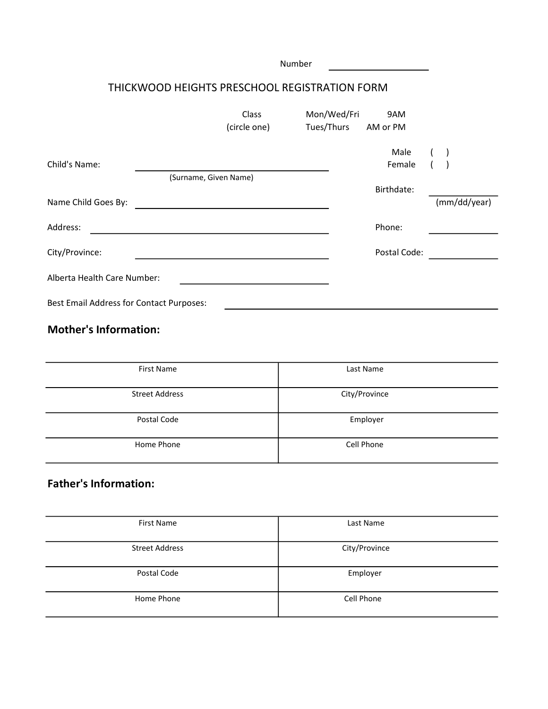|                                                 |                                               | Number |             |              |       |              |
|-------------------------------------------------|-----------------------------------------------|--------|-------------|--------------|-------|--------------|
|                                                 | THICKWOOD HEIGHTS PRESCHOOL REGISTRATION FORM |        |             |              |       |              |
|                                                 | Class                                         |        | Mon/Wed/Fri | 9AM          |       |              |
|                                                 | (circle one)                                  |        | Tues/Thurs  | AM or PM     |       |              |
|                                                 |                                               |        |             | Male         | $($ ) |              |
| Child's Name:                                   |                                               |        |             | Female       |       |              |
|                                                 | (Surname, Given Name)                         |        |             |              |       |              |
|                                                 |                                               |        |             | Birthdate:   |       |              |
| Name Child Goes By:                             |                                               |        |             |              |       | (mm/dd/year) |
| Address:                                        |                                               |        |             | Phone:       |       |              |
| City/Province:                                  |                                               |        |             | Postal Code: |       |              |
| Alberta Health Care Number:                     |                                               |        |             |              |       |              |
| <b>Best Email Address for Contact Purposes:</b> |                                               |        |             |              |       |              |

### Mother's Information:

| <b>First Name</b>     | Last Name     |
|-----------------------|---------------|
| <b>Street Address</b> | City/Province |
| Postal Code           | Employer      |
| Home Phone            | Cell Phone    |

## Father's Information:

| <b>First Name</b>     | Last Name     |
|-----------------------|---------------|
|                       |               |
|                       |               |
| <b>Street Address</b> | City/Province |
|                       |               |
|                       |               |
|                       |               |
| Postal Code           | Employer      |
|                       |               |
|                       |               |
| Home Phone            | Cell Phone    |
|                       |               |
|                       |               |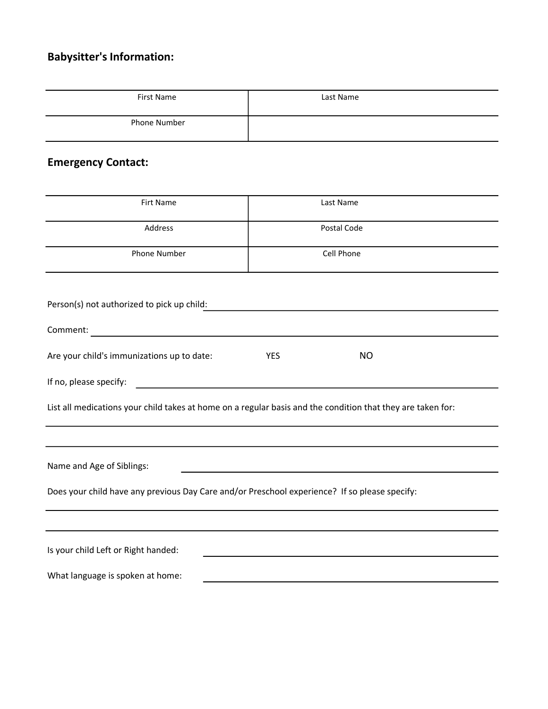# Babysitter's Information:

| First Name   | Last Name |
|--------------|-----------|
| Phone Number |           |

## Emergency Contact:

| <b>Firt Name</b>                                                                              | Last Name                                                                                                             |
|-----------------------------------------------------------------------------------------------|-----------------------------------------------------------------------------------------------------------------------|
| Address                                                                                       | Postal Code                                                                                                           |
| Phone Number                                                                                  | Cell Phone                                                                                                            |
|                                                                                               |                                                                                                                       |
| Person(s) not authorized to pick up child:                                                    |                                                                                                                       |
| Comment:                                                                                      |                                                                                                                       |
| Are your child's immunizations up to date:                                                    | <b>NO</b><br><b>YES</b>                                                                                               |
| If no, please specify:                                                                        | <u> 1989 - Johann Harry Harry Harry Harry Harry Harry Harry Harry Harry Harry Harry Harry Harry Harry Harry Harry</u> |
|                                                                                               | List all medications your child takes at home on a regular basis and the condition that they are taken for:           |
|                                                                                               |                                                                                                                       |
| Name and Age of Siblings:                                                                     |                                                                                                                       |
| Does your child have any previous Day Care and/or Preschool experience? If so please specify: |                                                                                                                       |
|                                                                                               |                                                                                                                       |
| Is your child Left or Right handed:                                                           |                                                                                                                       |
| What language is spoken at home:                                                              |                                                                                                                       |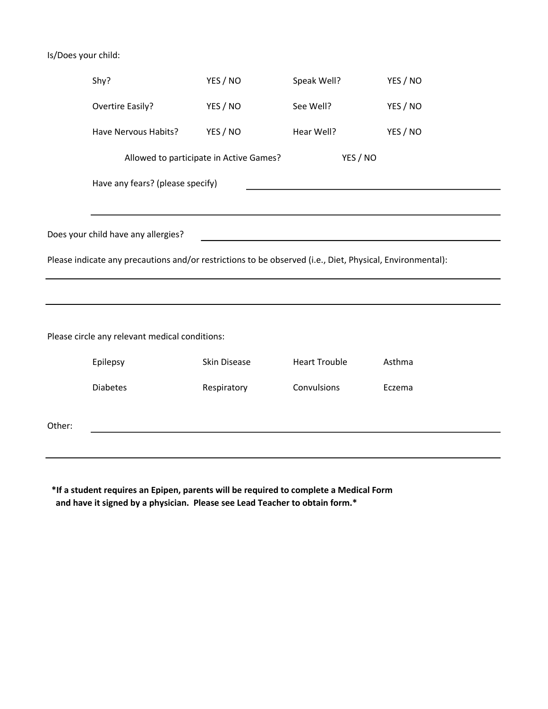#### Is/Does your child:

|                                                                                                           | Shy?                                                                                                                                                                                                                                                                 | YES / NO                                | Speak Well?          | YES / NO |  |
|-----------------------------------------------------------------------------------------------------------|----------------------------------------------------------------------------------------------------------------------------------------------------------------------------------------------------------------------------------------------------------------------|-----------------------------------------|----------------------|----------|--|
|                                                                                                           | Overtire Easily?                                                                                                                                                                                                                                                     | YES / NO                                | See Well?            | YES / NO |  |
|                                                                                                           | Have Nervous Habits?                                                                                                                                                                                                                                                 | YES / NO                                | Hear Well?           | YES / NO |  |
|                                                                                                           |                                                                                                                                                                                                                                                                      | Allowed to participate in Active Games? | YES / NO             |          |  |
|                                                                                                           | Have any fears? (please specify)                                                                                                                                                                                                                                     |                                         |                      |          |  |
|                                                                                                           |                                                                                                                                                                                                                                                                      |                                         |                      |          |  |
|                                                                                                           | Does your child have any allergies?<br>the control of the control of the control of the control of the control of the control of the control of the control of the control of the control of the control of the control of the control of the control of the control |                                         |                      |          |  |
| Please indicate any precautions and/or restrictions to be observed (i.e., Diet, Physical, Environmental): |                                                                                                                                                                                                                                                                      |                                         |                      |          |  |
|                                                                                                           |                                                                                                                                                                                                                                                                      |                                         |                      |          |  |
|                                                                                                           |                                                                                                                                                                                                                                                                      |                                         |                      |          |  |
|                                                                                                           | Please circle any relevant medical conditions:                                                                                                                                                                                                                       |                                         |                      |          |  |
|                                                                                                           | Epilepsy                                                                                                                                                                                                                                                             | Skin Disease                            | <b>Heart Trouble</b> | Asthma   |  |
|                                                                                                           | <b>Diabetes</b>                                                                                                                                                                                                                                                      | Respiratory                             | Convulsions          | Eczema   |  |

Other:

 \*If a student requires an Epipen, parents will be required to complete a Medical Form and have it signed by a physician. Please see Lead Teacher to obtain form.\*